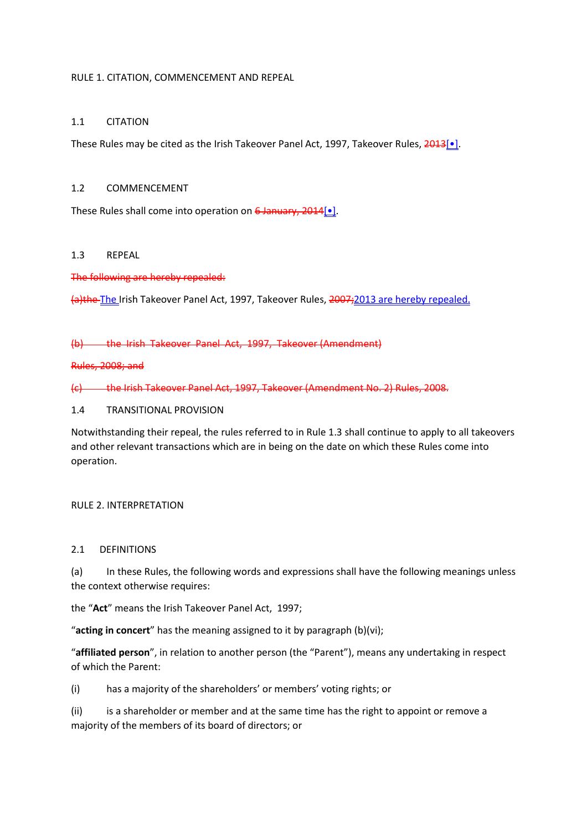#### RULE 1. CITATION, COMMENCEMENT AND REPEAL

### 1.1 CITATION

These Rules may be cited as the Irish Takeover Panel Act, 1997, Takeover Rules, 2013[<sup>•</sup>].

### 1.2 COMMENCEMENT

These Rules shall come into operation on 6 January, 2014[...].

### 1.3 REPEAL

The following are hereby repealed:

(a)the The Irish Takeover Panel Act, 1997, Takeover Rules, 2007;2013 are hereby repealed.

(b) the Irish Takeover Panel Act, 1997, Takeover (Amendment)

Rules, 2008; and

(c) the Irish Takeover Panel Act, 1997, Takeover (Amendment No. 2) Rules, 2008.

#### 1.4 TRANSITIONAL PROVISION

Notwithstanding their repeal, the rules referred to in Rule 1.3 shall continue to apply to all takeovers and other relevant transactions which are in being on the date on which these Rules come into operation.

### RULE 2. INTERPRETATION

### 2.1 DEFINITIONS

(a) In these Rules, the following words and expressions shall have the following meanings unless the context otherwise requires:

the "**Act**" means the Irish Takeover Panel Act, 1997;

"**acting in concert**" has the meaning assigned to it by paragraph (b)(vi);

"**affiliated person**", in relation to another person (the "Parent"), means any undertaking in respect of which the Parent:

(i) has a majority of the shareholders' or members' voting rights; or

(ii) is a shareholder or member and at the same time has the right to appoint or remove a majority of the members of its board of directors; or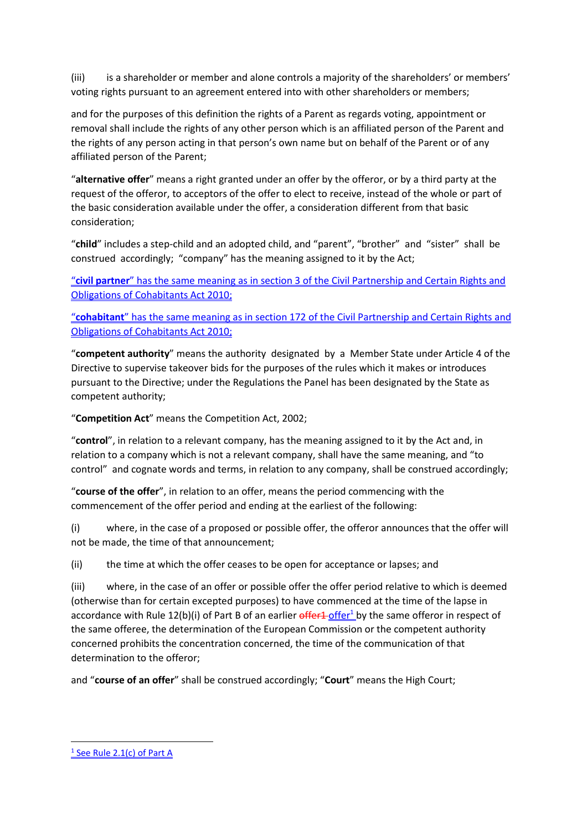(iii) is a shareholder or member and alone controls a majority of the shareholders' or members' voting rights pursuant to an agreement entered into with other shareholders or members;

and for the purposes of this definition the rights of a Parent as regards voting, appointment or removal shall include the rights of any other person which is an affiliated person of the Parent and the rights of any person acting in that person's own name but on behalf of the Parent or of any affiliated person of the Parent;

"**alternative offer**" means a right granted under an offer by the offeror, or by a third party at the request of the offeror, to acceptors of the offer to elect to receive, instead of the whole or part of the basic consideration available under the offer, a consideration different from that basic consideration;

"**child**" includes a step-child and an adopted child, and "parent", "brother" and "sister" shall be construed accordingly; "company" has the meaning assigned to it by the Act;

"**civil partner**" has the same meaning as in section 3 of the Civil Partnership and Certain Rights and Obligations of Cohabitants Act 2010;

"**cohabitant**" has the same meaning as in section 172 of the Civil Partnership and Certain Rights and Obligations of Cohabitants Act 2010;

"**competent authority**" means the authority designated by a Member State under Article 4 of the Directive to supervise takeover bids for the purposes of the rules which it makes or introduces pursuant to the Directive; under the Regulations the Panel has been designated by the State as competent authority;

"**Competition Act**" means the Competition Act, 2002;

"**control**", in relation to a relevant company, has the meaning assigned to it by the Act and, in relation to a company which is not a relevant company, shall have the same meaning, and "to control" and cognate words and terms, in relation to any company, shall be construed accordingly;

"**course of the offer**", in relation to an offer, means the period commencing with the commencement of the offer period and ending at the earliest of the following:

(i) where, in the case of a proposed or possible offer, the offeror announces that the offer will not be made, the time of that announcement;

(ii) the time at which the offer ceases to be open for acceptance or lapses; and

(iii) where, in the case of an offer or possible offer the offer period relative to which is deemed (otherwise than for certain excepted purposes) to have commenced at the time of the lapse in accordance with Rule 12(b)(i) of Part B of an earlier  $offer1_0$  by the same offeror in respect of the same offeree, the determination of the European Commission or the competent authority concerned prohibits the concentration concerned, the time of the communication of that determination to the offeror;

and "**course of an offer**" shall be construed accordingly; "**Court**" means the High Court;

 $\overline{\phantom{a}}$ 

<sup>&</sup>lt;sup>1</sup> See Rule 2.1(c) of Part A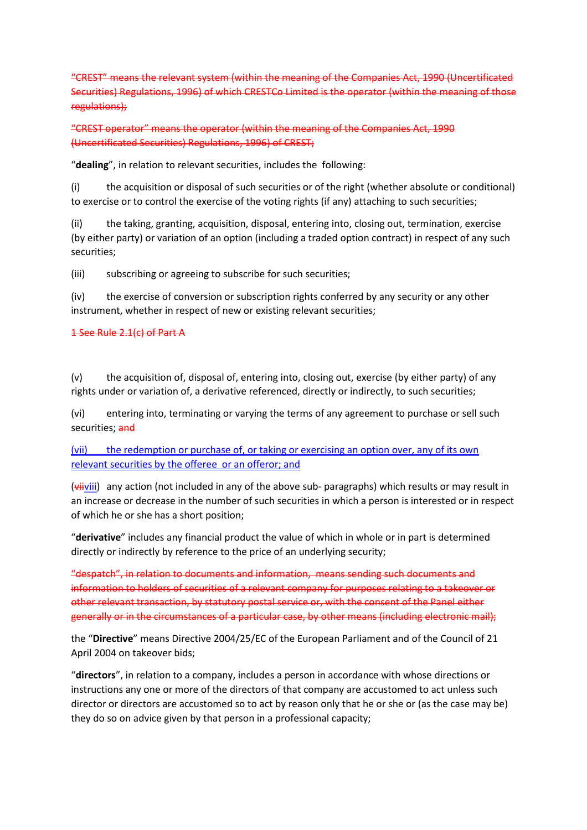"CREST" means the relevant system (within the meaning of the Companies Act, 1990 (Uncertificated Securities) Regulations, 1996) of which CRESTCo Limited is the operator (within the meaning of those regulations);

"CREST operator" means the operator (within the meaning of the Companies Act, 1990 (Uncertificated Securities) Regulations, 1996) of CREST;

"**dealing**", in relation to relevant securities, includes the following:

(i) the acquisition or disposal of such securities or of the right (whether absolute or conditional) to exercise or to control the exercise of the voting rights (if any) attaching to such securities;

(ii) the taking, granting, acquisition, disposal, entering into, closing out, termination, exercise (by either party) or variation of an option (including a traded option contract) in respect of any such securities;

(iii) subscribing or agreeing to subscribe for such securities;

(iv) the exercise of conversion or subscription rights conferred by any security or any other instrument, whether in respect of new or existing relevant securities;

### 1 See Rule 2.1(c) of Part A

(v) the acquisition of, disposal of, entering into, closing out, exercise (by either party) of any rights under or variation of, a derivative referenced, directly or indirectly, to such securities;

(vi) entering into, terminating or varying the terms of any agreement to purchase or sell such securities; and

(vii) the redemption or purchase of, or taking or exercising an option over, any of its own relevant securities by the offeree or an offeror; and

 $(v^{\text{iiiv}})$  any action (not included in any of the above sub- paragraphs) which results or may result in an increase or decrease in the number of such securities in which a person is interested or in respect of which he or she has a short position;

"**derivative**" includes any financial product the value of which in whole or in part is determined directly or indirectly by reference to the price of an underlying security;

"despatch", in relation to documents and information, means sending such documents and information to holders of securities of a relevant company for purposes relating to a takeover or other relevant transaction, by statutory postal service or, with the consent of the Panel either generally or in the circumstances of a particular case, by other means (including electronic mail);

the "**Directive**" means Directive 2004/25/EC of the European Parliament and of the Council of 21 April 2004 on takeover bids;

"**directors**", in relation to a company, includes a person in accordance with whose directions or instructions any one or more of the directors of that company are accustomed to act unless such director or directors are accustomed so to act by reason only that he or she or (as the case may be) they do so on advice given by that person in a professional capacity;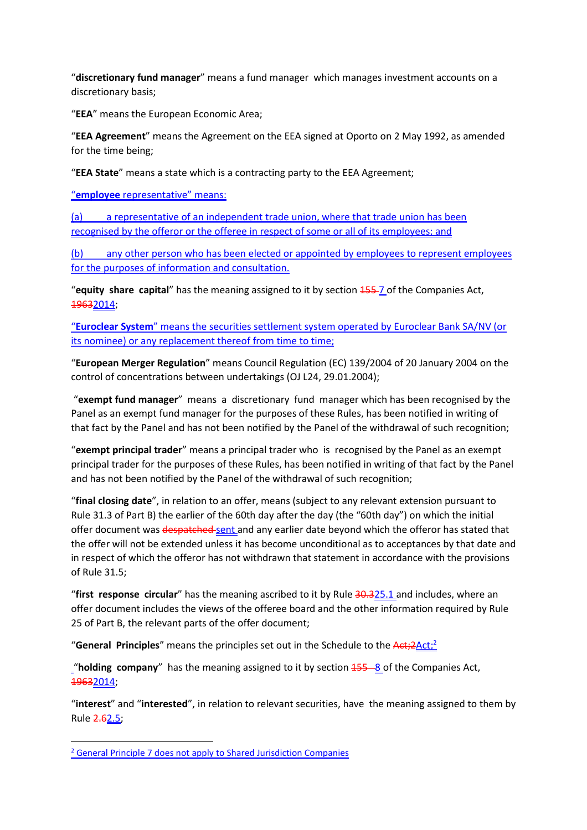"**discretionary fund manager**" means a fund manager which manages investment accounts on a discretionary basis;

"**EEA**" means the European Economic Area;

"**EEA Agreement**" means the Agreement on the EEA signed at Oporto on 2 May 1992, as amended for the time being;

"**EEA State**" means a state which is a contracting party to the EEA Agreement;

"**employee** representative" means:

(a) a representative of an independent trade union, where that trade union has been recognised by the offeror or the offeree in respect of some or all of its employees; and

(b) any other person who has been elected or appointed by employees to represent employees for the purposes of information and consultation.

"**equity share capital**" has the meaning assigned to it by section 155 7 of the Companies Act, 19632014;

"**Euroclear System**" means the securities settlement system operated by Euroclear Bank SA/NV (or its nominee) or any replacement thereof from time to time;

"**European Merger Regulation**" means Council Regulation (EC) 139/2004 of 20 January 2004 on the control of concentrations between undertakings (OJ L24, 29.01.2004);

 "**exempt fund manager**" means a discretionary fund manager which has been recognised by the Panel as an exempt fund manager for the purposes of these Rules, has been notified in writing of that fact by the Panel and has not been notified by the Panel of the withdrawal of such recognition;

"**exempt principal trader**" means a principal trader who is recognised by the Panel as an exempt principal trader for the purposes of these Rules, has been notified in writing of that fact by the Panel and has not been notified by the Panel of the withdrawal of such recognition;

"**final closing date**", in relation to an offer, means (subject to any relevant extension pursuant to Rule 31.3 of Part B) the earlier of the 60th day after the day (the "60th day") on which the initial offer document was despatched sent and any earlier date beyond which the offeror has stated that the offer will not be extended unless it has become unconditional as to acceptances by that date and in respect of which the offeror has not withdrawn that statement in accordance with the provisions of Rule 31.5;

"**first response circular**" has the meaning ascribed to it by Rule 30.325.1 and includes, where an offer document includes the views of the offeree board and the other information required by Rule 25 of Part B, the relevant parts of the offer document;

"**General Principles**" means the principles set out in the Schedule to the Act;2Act;<sup>2</sup>

"**holding company**" has the meaning assigned to it by section  $\frac{155-8}{15}$  of the Companies Act, 19632014;

"**interest**" and "**interested**", in relation to relevant securities, have the meaning assigned to them by Rule 2.62.5;

 $\overline{\phantom{a}}$ 

<sup>&</sup>lt;sup>2</sup> General Principle 7 does not apply to Shared Jurisdiction Companies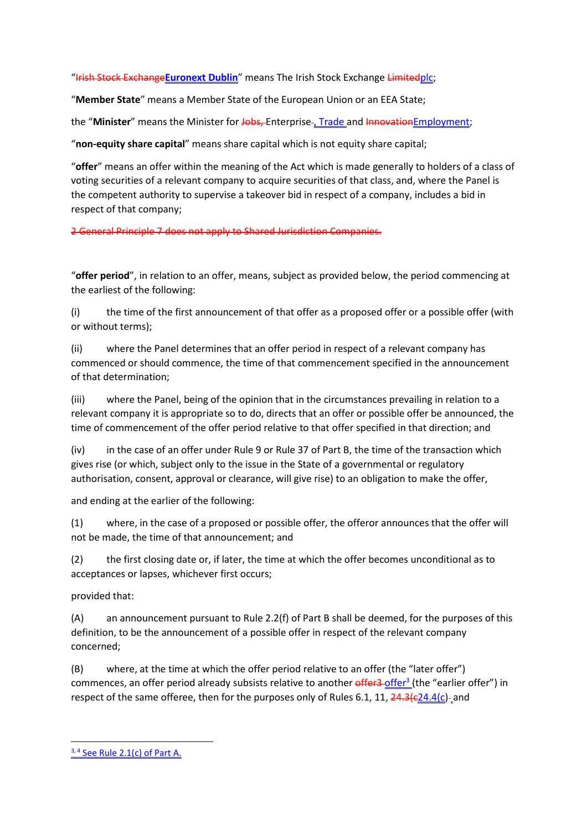"Irish Stock Exchange**Euronext Dublin**" means The Irish Stock Exchange Limitedplc;

"**Member State**" means a Member State of the European Union or an EEA State;

the "Minister" means the Minister for Jobs, Enterprise-, Trade and Innovation Employment;

"**non-equity share capital**" means share capital which is not equity share capital;

"**offer**" means an offer within the meaning of the Act which is made generally to holders of a class of voting securities of a relevant company to acquire securities of that class, and, where the Panel is the competent authority to supervise a takeover bid in respect of a company, includes a bid in respect of that company;

2 General Principle 7 does not apply to Shared Jurisdiction Companies.

"**offer period**", in relation to an offer, means, subject as provided below, the period commencing at the earliest of the following:

(i) the time of the first announcement of that offer as a proposed offer or a possible offer (with or without terms);

(ii) where the Panel determines that an offer period in respect of a relevant company has commenced or should commence, the time of that commencement specified in the announcement of that determination;

(iii) where the Panel, being of the opinion that in the circumstances prevailing in relation to a relevant company it is appropriate so to do, directs that an offer or possible offer be announced, the time of commencement of the offer period relative to that offer specified in that direction; and

(iv) in the case of an offer under Rule 9 or Rule 37 of Part B, the time of the transaction which gives rise (or which, subject only to the issue in the State of a governmental or regulatory authorisation, consent, approval or clearance, will give rise) to an obligation to make the offer,

and ending at the earlier of the following:

(1) where, in the case of a proposed or possible offer, the offeror announces that the offer will not be made, the time of that announcement; and

(2) the first closing date or, if later, the time at which the offer becomes unconditional as to acceptances or lapses, whichever first occurs;

provided that:

(A) an announcement pursuant to Rule 2.2(f) of Part B shall be deemed, for the purposes of this definition, to be the announcement of a possible offer in respect of the relevant company concerned;

(B) where, at the time at which the offer period relative to an offer (the "later offer") commences, an offer period already subsists relative to another offer<sup>3</sup> (the "earlier offer") in respect of the same offeree, then for the purposes only of Rules 6.1, 11,  $\frac{24.3(c24.4(c)}{24.0c24.4(c)}$ 

 $\overline{\phantom{a}}$ 

 $3, 4$  See Rule 2.1(c) of Part A.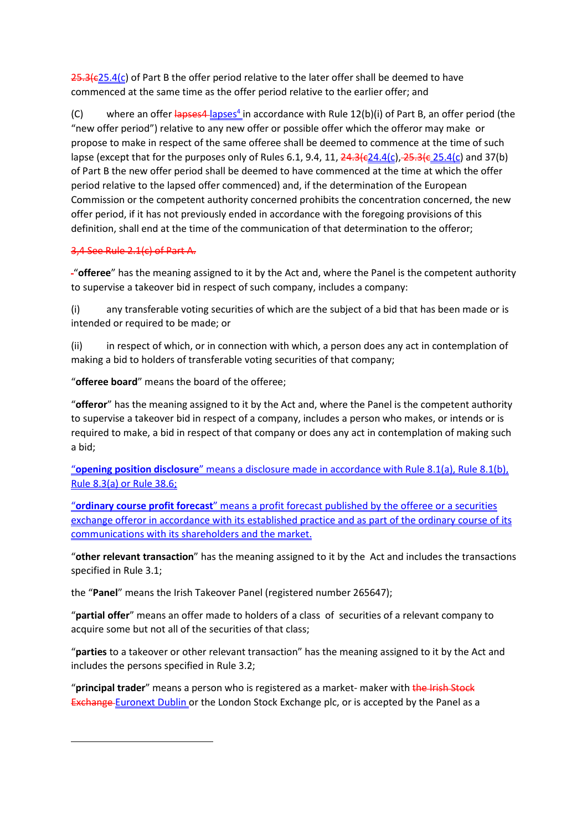$25.3$ ( $c25.4$ (c) of Part B the offer period relative to the later offer shall be deemed to have commenced at the same time as the offer period relative to the earlier offer; and

(C) where an offer  $lapses4_lapses^4$  in accordance with Rule 12(b)(i) of Part B, an offer period (the "new offer period") relative to any new offer or possible offer which the offeror may make or propose to make in respect of the same offeree shall be deemed to commence at the time of such lapse (except that for the purposes only of Rules 6.1, 9.4, 11,  $\frac{24.3(c24.4(c), 25.3(c, 25.4(c))}{25.3(c, 25.4(c))}$  and 37(b) of Part B the new offer period shall be deemed to have commenced at the time at which the offer period relative to the lapsed offer commenced) and, if the determination of the European Commission or the competent authority concerned prohibits the concentration concerned, the new offer period, if it has not previously ended in accordance with the foregoing provisions of this definition, shall end at the time of the communication of that determination to the offeror;

### 3,4 See Rule 2.1(c) of Part A.

 $\overline{\phantom{a}}$ 

"**offeree**" has the meaning assigned to it by the Act and, where the Panel is the competent authority to supervise a takeover bid in respect of such company, includes a company:

(i) any transferable voting securities of which are the subject of a bid that has been made or is intended or required to be made; or

(ii) in respect of which, or in connection with which, a person does any act in contemplation of making a bid to holders of transferable voting securities of that company;

"**offeree board**" means the board of the offeree;

"**offeror**" has the meaning assigned to it by the Act and, where the Panel is the competent authority to supervise a takeover bid in respect of a company, includes a person who makes, or intends or is required to make, a bid in respect of that company or does any act in contemplation of making such a bid;

"**opening position disclosure**" means a disclosure made in accordance with Rule 8.1(a), Rule 8.1(b), Rule 8.3(a) or Rule 38.6;

"**ordinary course profit forecast**" means a profit forecast published by the offeree or a securities exchange offeror in accordance with its established practice and as part of the ordinary course of its communications with its shareholders and the market.

"**other relevant transaction**" has the meaning assigned to it by the Act and includes the transactions specified in Rule 3.1;

the "**Panel**" means the Irish Takeover Panel (registered number 265647);

"**partial offer**" means an offer made to holders of a class of securities of a relevant company to acquire some but not all of the securities of that class;

"**parties** to a takeover or other relevant transaction" has the meaning assigned to it by the Act and includes the persons specified in Rule 3.2;

"**principal trader**" means a person who is registered as a market- maker with the Irish Stock **Exchange Euronext Dublin or the London Stock Exchange plc, or is accepted by the Panel as a**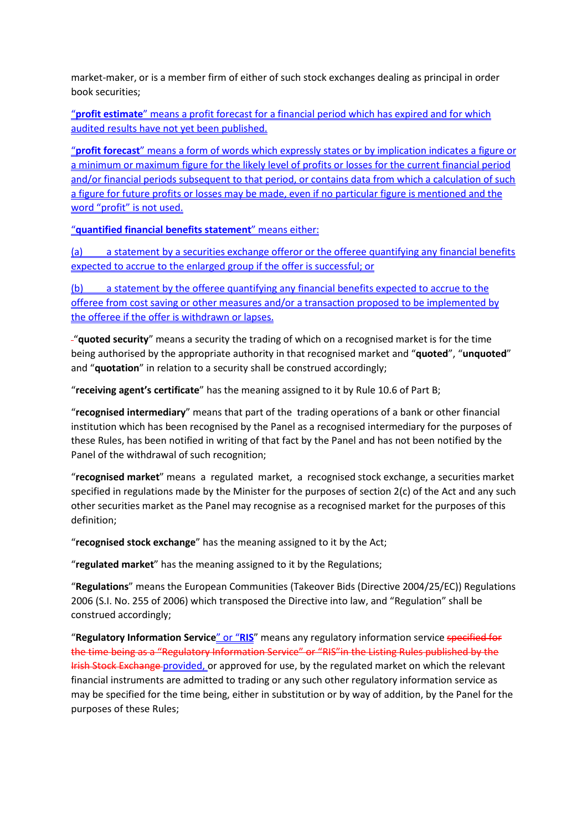market-maker, or is a member firm of either of such stock exchanges dealing as principal in order book securities;

"**profit estimate**" means a profit forecast for a financial period which has expired and for which audited results have not yet been published.

"**profit forecast**" means a form of words which expressly states or by implication indicates a figure or a minimum or maximum figure for the likely level of profits or losses for the current financial period and/or financial periods subsequent to that period, or contains data from which a calculation of such a figure for future profits or losses may be made, even if no particular figure is mentioned and the word "profit" is not used.

"**quantified financial benefits statement**" means either:

(a) a statement by a securities exchange offeror or the offeree quantifying any financial benefits expected to accrue to the enlarged group if the offer is successful; or

(b) a statement by the offeree quantifying any financial benefits expected to accrue to the offeree from cost saving or other measures and/or a transaction proposed to be implemented by the offeree if the offer is withdrawn or lapses.

"**quoted security**" means a security the trading of which on a recognised market is for the time being authorised by the appropriate authority in that recognised market and "**quoted**", "**unquoted**" and "**quotation**" in relation to a security shall be construed accordingly;

"**receiving agent's certificate**" has the meaning assigned to it by Rule 10.6 of Part B;

"**recognised intermediary**" means that part of the trading operations of a bank or other financial institution which has been recognised by the Panel as a recognised intermediary for the purposes of these Rules, has been notified in writing of that fact by the Panel and has not been notified by the Panel of the withdrawal of such recognition;

"**recognised market**" means a regulated market, a recognised stock exchange, a securities market specified in regulations made by the Minister for the purposes of section 2(c) of the Act and any such other securities market as the Panel may recognise as a recognised market for the purposes of this definition;

"**recognised stock exchange**" has the meaning assigned to it by the Act;

"**regulated market**" has the meaning assigned to it by the Regulations;

"**Regulations**" means the European Communities (Takeover Bids (Directive 2004/25/EC)) Regulations 2006 (S.I. No. 255 of 2006) which transposed the Directive into law, and "Regulation" shall be construed accordingly;

"**Regulatory Information Service**" or "**RIS**" means any regulatory information service specified for the time being as a "Regulatory Information Service" or "RIS"in the Listing Rules published by the Irish Stock Exchange provided, or approved for use, by the regulated market on which the relevant financial instruments are admitted to trading or any such other regulatory information service as may be specified for the time being, either in substitution or by way of addition, by the Panel for the purposes of these Rules;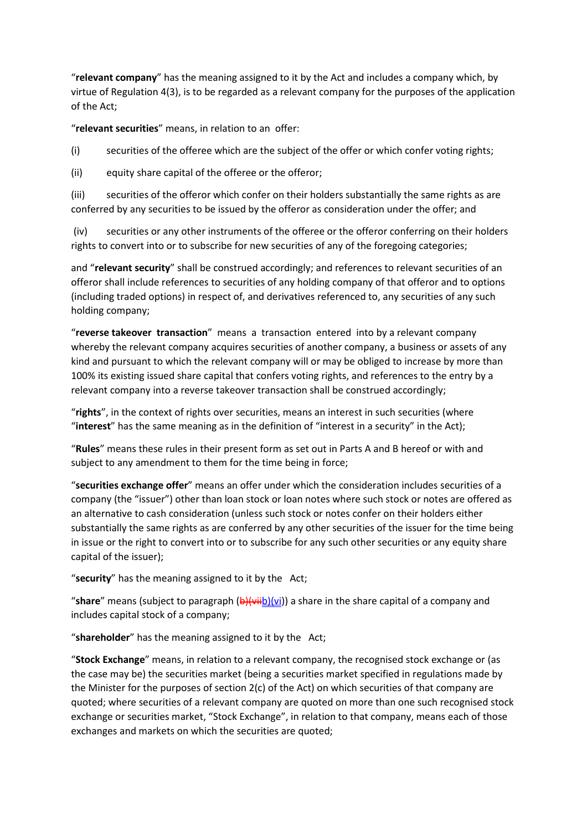"**relevant company**" has the meaning assigned to it by the Act and includes a company which, by virtue of Regulation 4(3), is to be regarded as a relevant company for the purposes of the application of the Act;

"**relevant securities**" means, in relation to an offer:

(i) securities of the offeree which are the subject of the offer or which confer voting rights;

(ii) equity share capital of the offeree or the offeror;

(iii) securities of the offeror which confer on their holders substantially the same rights as are conferred by any securities to be issued by the offeror as consideration under the offer; and

 (iv) securities or any other instruments of the offeree or the offeror conferring on their holders rights to convert into or to subscribe for new securities of any of the foregoing categories;

and "**relevant security**" shall be construed accordingly; and references to relevant securities of an offeror shall include references to securities of any holding company of that offeror and to options (including traded options) in respect of, and derivatives referenced to, any securities of any such holding company;

"**reverse takeover transaction**" means a transaction entered into by a relevant company whereby the relevant company acquires securities of another company, a business or assets of any kind and pursuant to which the relevant company will or may be obliged to increase by more than 100% its existing issued share capital that confers voting rights, and references to the entry by a relevant company into a reverse takeover transaction shall be construed accordingly;

"**rights**", in the context of rights over securities, means an interest in such securities (where "**interest**" has the same meaning as in the definition of "interest in a security" in the Act);

"**Rules**" means these rules in their present form as set out in Parts A and B hereof or with and subject to any amendment to them for the time being in force;

"**securities exchange offer**" means an offer under which the consideration includes securities of a company (the "issuer") other than loan stock or loan notes where such stock or notes are offered as an alternative to cash consideration (unless such stock or notes confer on their holders either substantially the same rights as are conferred by any other securities of the issuer for the time being in issue or the right to convert into or to subscribe for any such other securities or any equity share capital of the issuer);

"**security**" has the meaning assigned to it by the Act;

"**share**" means (subject to paragraph (b)(viib)(vi)) a share in the share capital of a company and includes capital stock of a company;

"**shareholder**" has the meaning assigned to it by the Act;

"**Stock Exchange**" means, in relation to a relevant company, the recognised stock exchange or (as the case may be) the securities market (being a securities market specified in regulations made by the Minister for the purposes of section 2(c) of the Act) on which securities of that company are quoted; where securities of a relevant company are quoted on more than one such recognised stock exchange or securities market, "Stock Exchange", in relation to that company, means each of those exchanges and markets on which the securities are quoted;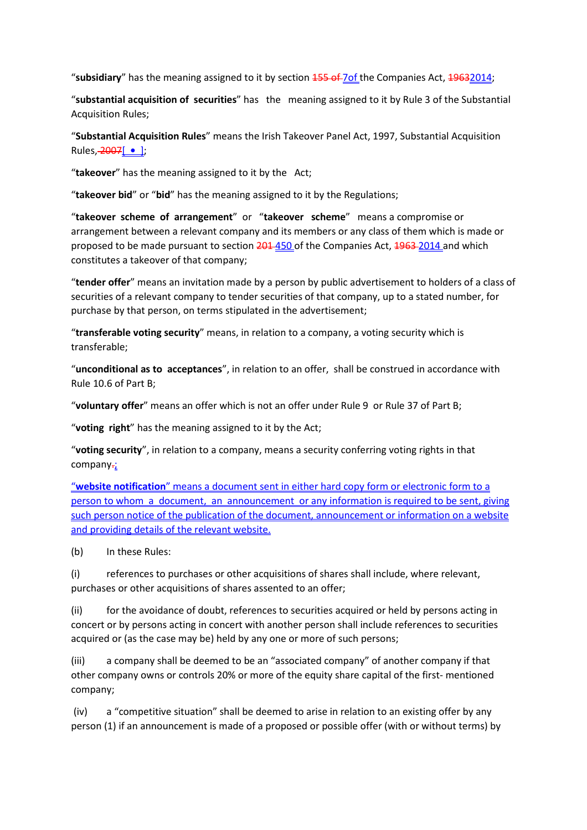"subsidiary" has the meaning assigned to it by section  $\frac{455 \text{ of } 70f}{25}$  the Companies Act,  $\frac{49632014}{25}$ ;

"**substantial acquisition of securities**" has the meaning assigned to it by Rule 3 of the Substantial Acquisition Rules;

"**Substantial Acquisition Rules**" means the Irish Takeover Panel Act, 1997, Substantial Acquisition Rules, 2007[ **•** ];

"**takeover**" has the meaning assigned to it by the Act;

"**takeover bid**" or "**bid**" has the meaning assigned to it by the Regulations;

"**takeover scheme of arrangement**" or "**takeover scheme**" means a compromise or arrangement between a relevant company and its members or any class of them which is made or proposed to be made pursuant to section 201 450 of the Companies Act, 1963 2014 and which constitutes a takeover of that company;

"**tender offer**" means an invitation made by a person by public advertisement to holders of a class of securities of a relevant company to tender securities of that company, up to a stated number, for purchase by that person, on terms stipulated in the advertisement;

"**transferable voting security**" means, in relation to a company, a voting security which is transferable;

"**unconditional as to acceptances**", in relation to an offer, shall be construed in accordance with Rule 10.6 of Part B;

"**voluntary offer**" means an offer which is not an offer under Rule 9 or Rule 37 of Part B;

"**voting right**" has the meaning assigned to it by the Act;

"**voting security**", in relation to a company, means a security conferring voting rights in that company-;

"**website notification**" means a document sent in either hard copy form or electronic form to a person to whom a document, an announcement or any information is required to be sent, giving such person notice of the publication of the document, announcement or information on a website and providing details of the relevant website.

(b) In these Rules:

(i) references to purchases or other acquisitions of shares shall include, where relevant, purchases or other acquisitions of shares assented to an offer;

(ii) for the avoidance of doubt, references to securities acquired or held by persons acting in concert or by persons acting in concert with another person shall include references to securities acquired or (as the case may be) held by any one or more of such persons;

(iii) a company shall be deemed to be an "associated company" of another company if that other company owns or controls 20% or more of the equity share capital of the first- mentioned company;

 (iv) a "competitive situation" shall be deemed to arise in relation to an existing offer by any person (1) if an announcement is made of a proposed or possible offer (with or without terms) by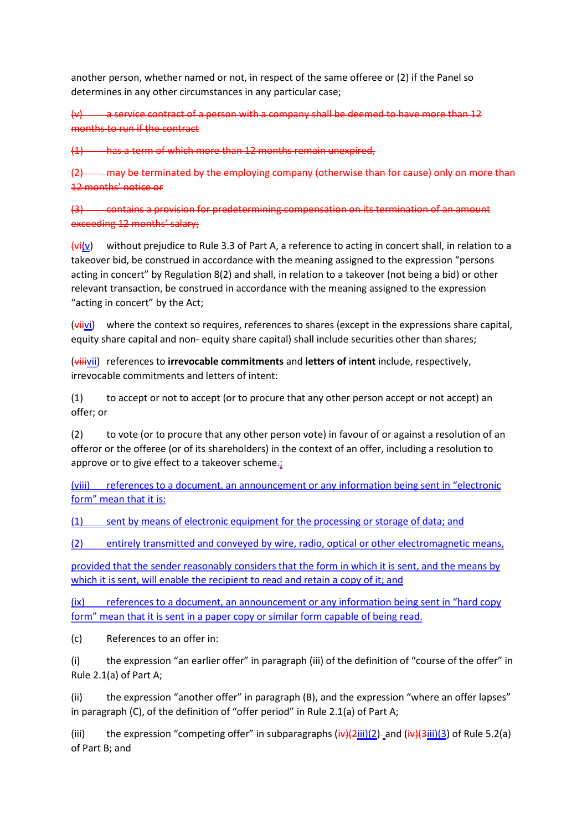another person, whether named or not, in respect of the same offeree or (2) if the Panel so determines in any other circumstances in any particular case;

 $(v)$  a service contract of a person with a company shall be deemed to have more than 12 months to run if the contract

(1) has a term of which more than 12 months remain unexpired,

(2) may be terminated by the employing company (otherwise than for cause) only on more than 12 months' notice or

(3) contains a provision for predetermining compensation on its termination of an amount exceeding 12 months' salary;

 $\frac{f_{\text{V}}(v)}{v}$  without prejudice to Rule 3.3 of Part A, a reference to acting in concert shall, in relation to a takeover bid, be construed in accordance with the meaning assigned to the expression "persons acting in concert" by Regulation 8(2) and shall, in relation to a takeover (not being a bid) or other relevant transaction, be construed in accordance with the meaning assigned to the expression "acting in concert" by the Act;

 $(v\leftrightarrow iv)$  where the context so requires, references to shares (except in the expressions share capital, equity share capital and non- equity share capital) shall include securities other than shares;

(viiivii) references to **irrevocable commitments** and **letters of** i**ntent** include, respectively, irrevocable commitments and letters of intent:

 $(1)$  to accept or not to accept (or to procure that any other person accept or not accept) an offer; or

(2) to vote (or to procure that any other person vote) in favour of or against a resolution of an offeror or the offeree (or of its shareholders) in the context of an offer, including a resolution to approve or to give effect to a takeover scheme $\frac{1}{k}$ 

(viii) references to a document, an announcement or any information being sent in "electronic form" mean that it is:

(1) sent by means of electronic equipment for the processing or storage of data; and

(2) entirely transmitted and conveyed by wire, radio, optical or other electromagnetic means,

provided that the sender reasonably considers that the form in which it is sent, and the means by which it is sent, will enable the recipient to read and retain a copy of it; and

(ix) references to a document, an announcement or any information being sent in "hard copy form" mean that it is sent in a paper copy or similar form capable of being read.

(c) References to an offer in:

(i) the expression "an earlier offer" in paragraph (iii) of the definition of "course of the offer" in Rule 2.1(a) of Part A;

(ii) the expression "another offer" in paragraph (B), and the expression "where an offer lapses" in paragraph (C), of the definition of "offer period" in Rule 2.1(a) of Part A;

(iii) the expression "competing offer" in subparagraphs  $(iw)(2ii)(2)$ -and  $(iw)(3iii)(3)$  of Rule 5.2(a) of Part B; and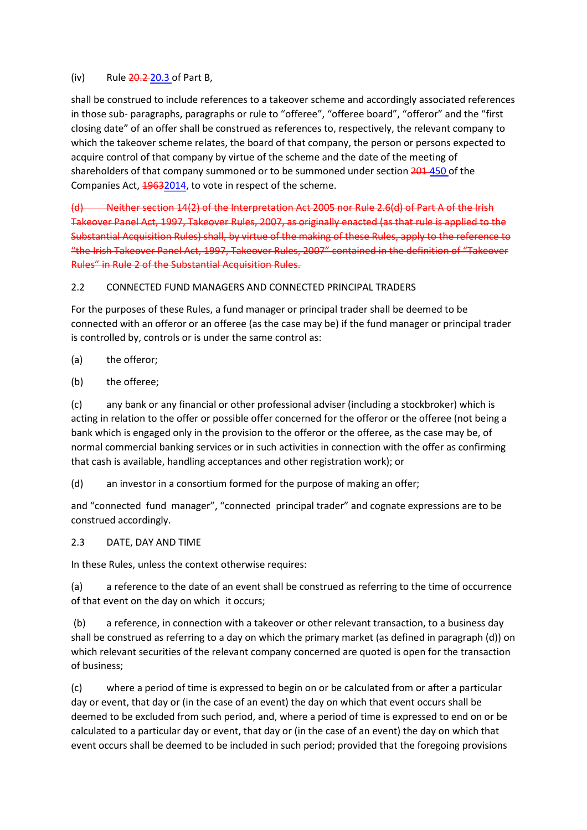### (iv) Rule  $20.2$   $20.3$  of Part B,

shall be construed to include references to a takeover scheme and accordingly associated references in those sub- paragraphs, paragraphs or rule to "offeree", "offeree board", "offeror" and the "first closing date" of an offer shall be construed as references to, respectively, the relevant company to which the takeover scheme relates, the board of that company, the person or persons expected to acquire control of that company by virtue of the scheme and the date of the meeting of shareholders of that company summoned or to be summoned under section 201-450 of the Companies Act,  $\frac{49632014}{2}$ , to vote in respect of the scheme.

(d) Neither section 14(2) of the Interpretation Act 2005 nor Rule 2.6(d) of Part A of the Irish Takeover Panel Act, 1997, Takeover Rules, 2007, as originally enacted (as that rule is applied to the Substantial Acquisition Rules) shall, by virtue of the making of these Rules, apply to the reference to "the Irish Takeover Panel Act, 1997, Takeover Rules, 2007" contained in the definition of "Takeover Rules" in Rule 2 of the Substantial Acquisition Rules.

## 2.2 CONNECTED FUND MANAGERS AND CONNECTED PRINCIPAL TRADERS

For the purposes of these Rules, a fund manager or principal trader shall be deemed to be connected with an offeror or an offeree (as the case may be) if the fund manager or principal trader is controlled by, controls or is under the same control as:

(a) the offeror;

(b) the offeree;

(c) any bank or any financial or other professional adviser (including a stockbroker) which is acting in relation to the offer or possible offer concerned for the offeror or the offeree (not being a bank which is engaged only in the provision to the offeror or the offeree, as the case may be, of normal commercial banking services or in such activities in connection with the offer as confirming that cash is available, handling acceptances and other registration work); or

(d) an investor in a consortium formed for the purpose of making an offer;

and "connected fund manager", "connected principal trader" and cognate expressions are to be construed accordingly.

2.3 DATE, DAY AND TIME

In these Rules, unless the context otherwise requires:

(a) a reference to the date of an event shall be construed as referring to the time of occurrence of that event on the day on which it occurs;

 (b) a reference, in connection with a takeover or other relevant transaction, to a business day shall be construed as referring to a day on which the primary market (as defined in paragraph (d)) on which relevant securities of the relevant company concerned are quoted is open for the transaction of business;

(c) where a period of time is expressed to begin on or be calculated from or after a particular day or event, that day or (in the case of an event) the day on which that event occurs shall be deemed to be excluded from such period, and, where a period of time is expressed to end on or be calculated to a particular day or event, that day or (in the case of an event) the day on which that event occurs shall be deemed to be included in such period; provided that the foregoing provisions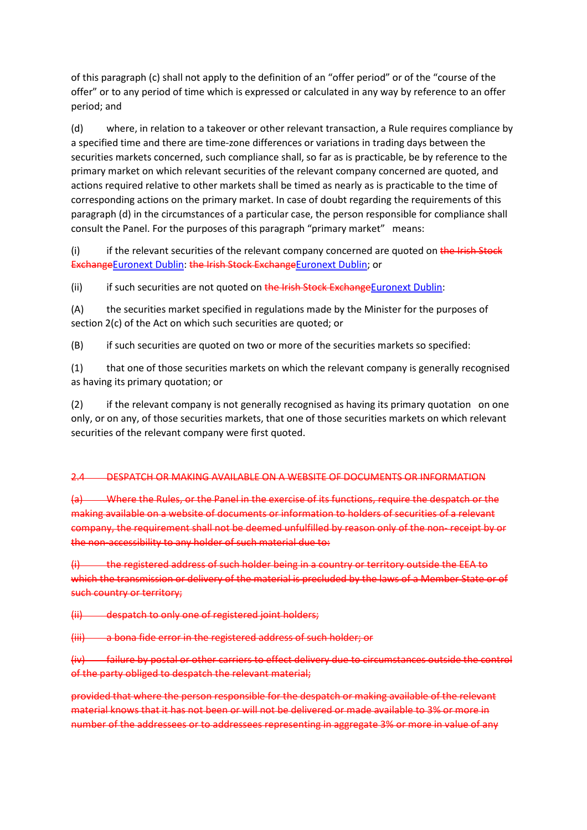of this paragraph (c) shall not apply to the definition of an "offer period" or of the "course of the offer" or to any period of time which is expressed or calculated in any way by reference to an offer period; and

(d) where, in relation to a takeover or other relevant transaction, a Rule requires compliance by a specified time and there are time-zone differences or variations in trading days between the securities markets concerned, such compliance shall, so far as is practicable, be by reference to the primary market on which relevant securities of the relevant company concerned are quoted, and actions required relative to other markets shall be timed as nearly as is practicable to the time of corresponding actions on the primary market. In case of doubt regarding the requirements of this paragraph (d) in the circumstances of a particular case, the person responsible for compliance shall consult the Panel. For the purposes of this paragraph "primary market" means:

 $(i)$  if the relevant securities of the relevant company concerned are quoted on the Irish Stock ExchangeEuronext Dublin: the Irish Stock ExchangeEuronext Dublin; or

(ii) if such securities are not quoted on the Irish Stock ExchangeEuronext Dublin:

(A) the securities market specified in regulations made by the Minister for the purposes of section 2(c) of the Act on which such securities are quoted; or

(B) if such securities are quoted on two or more of the securities markets so specified:

(1) that one of those securities markets on which the relevant company is generally recognised as having its primary quotation; or

(2) if the relevant company is not generally recognised as having its primary quotation on one only, or on any, of those securities markets, that one of those securities markets on which relevant securities of the relevant company were first quoted.

## 2.4 DESPATCH OR MAKING AVAILABLE ON A WEBSITE OF DOCUMENTS OR INFORMATION

(a) Where the Rules, or the Panel in the exercise of its functions, require the despatch or the making available on a website of documents or information to holders of securities of a relevant company, the requirement shall not be deemed unfulfilled by reason only of the non- receipt by or the non-accessibility to any holder of such material due to:

(i) the registered address of such holder being in a country or territory outside the EEA to which the transmission or delivery of the material is precluded by the laws of a Member State or of such country or territory;

(ii) despatch to only one of registered joint holders;

(iii) a bona fide error in the registered address of such holder; or

(iv) failure by postal or other carriers to effect delivery due to circumstances outside the control of the party obliged to despatch the relevant material;

provided that where the person responsible for the despatch or making available of the relevant material knows that it has not been or will not be delivered or made available to 3% or more in number of the addressees or to addressees representing in aggregate 3% or more in value of any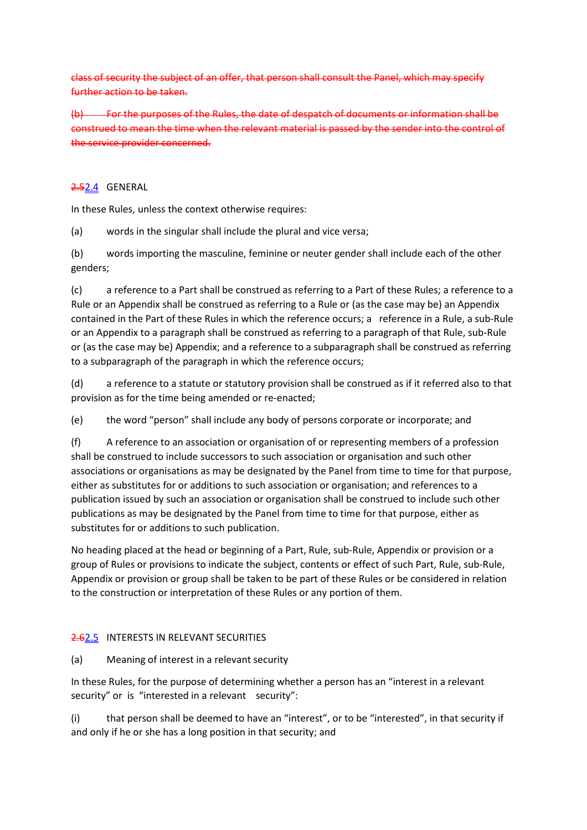class of security the subject of an offer, that person shall consult the Panel, which may specify further action to be taken.

(b) For the purposes of the Rules, the date of despatch of documents or information shall be construed to mean the time when the relevant material is passed by the sender into the control of the service provider concerned.

### 2.52.4 GENERAL

In these Rules, unless the context otherwise requires:

(a) words in the singular shall include the plural and vice versa;

(b) words importing the masculine, feminine or neuter gender shall include each of the other genders;

(c) a reference to a Part shall be construed as referring to a Part of these Rules; a reference to a Rule or an Appendix shall be construed as referring to a Rule or (as the case may be) an Appendix contained in the Part of these Rules in which the reference occurs; a reference in a Rule, a sub-Rule or an Appendix to a paragraph shall be construed as referring to a paragraph of that Rule, sub-Rule or (as the case may be) Appendix; and a reference to a subparagraph shall be construed as referring to a subparagraph of the paragraph in which the reference occurs;

(d) a reference to a statute or statutory provision shall be construed as if it referred also to that provision as for the time being amended or re-enacted;

(e) the word "person" shall include any body of persons corporate or incorporate; and

(f) A reference to an association or organisation of or representing members of a profession shall be construed to include successors to such association or organisation and such other associations or organisations as may be designated by the Panel from time to time for that purpose, either as substitutes for or additions to such association or organisation; and references to a publication issued by such an association or organisation shall be construed to include such other publications as may be designated by the Panel from time to time for that purpose, either as substitutes for or additions to such publication.

No heading placed at the head or beginning of a Part, Rule, sub-Rule, Appendix or provision or a group of Rules or provisions to indicate the subject, contents or effect of such Part, Rule, sub-Rule, Appendix or provision or group shall be taken to be part of these Rules or be considered in relation to the construction or interpretation of these Rules or any portion of them.

## 2.62.5 INTERESTS IN RELEVANT SECURITIES

### (a) Meaning of interest in a relevant security

In these Rules, for the purpose of determining whether a person has an "interest in a relevant security" or is "interested in a relevant security":

(i) that person shall be deemed to have an "interest", or to be "interested", in that security if and only if he or she has a long position in that security; and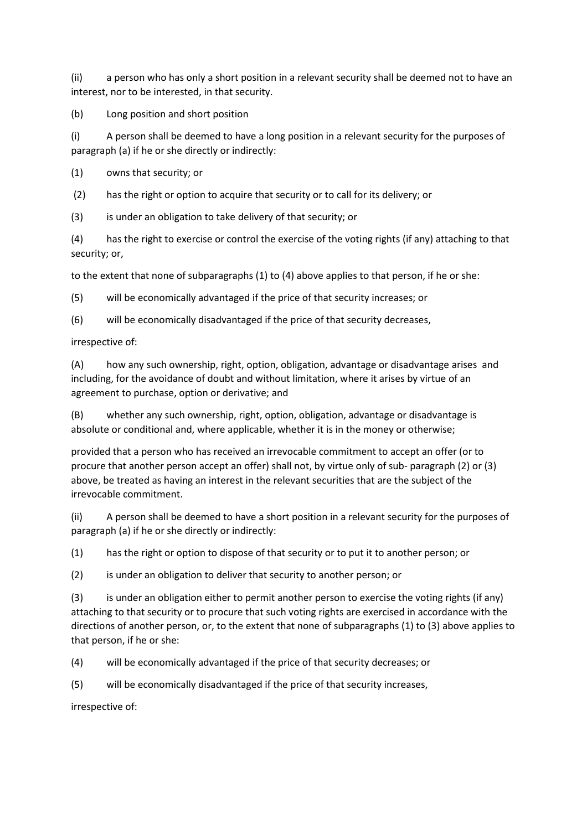(ii) a person who has only a short position in a relevant security shall be deemed not to have an interest, nor to be interested, in that security.

(b) Long position and short position

(i) A person shall be deemed to have a long position in a relevant security for the purposes of paragraph (a) if he or she directly or indirectly:

(1) owns that security; or

(2) has the right or option to acquire that security or to call for its delivery; or

(3) is under an obligation to take delivery of that security; or

(4) has the right to exercise or control the exercise of the voting rights (if any) attaching to that security; or,

to the extent that none of subparagraphs (1) to (4) above applies to that person, if he or she:

(5) will be economically advantaged if the price of that security increases; or

(6) will be economically disadvantaged if the price of that security decreases,

irrespective of:

(A) how any such ownership, right, option, obligation, advantage or disadvantage arises and including, for the avoidance of doubt and without limitation, where it arises by virtue of an agreement to purchase, option or derivative; and

(B) whether any such ownership, right, option, obligation, advantage or disadvantage is absolute or conditional and, where applicable, whether it is in the money or otherwise;

provided that a person who has received an irrevocable commitment to accept an offer (or to procure that another person accept an offer) shall not, by virtue only of sub- paragraph (2) or (3) above, be treated as having an interest in the relevant securities that are the subject of the irrevocable commitment.

(ii) A person shall be deemed to have a short position in a relevant security for the purposes of paragraph (a) if he or she directly or indirectly:

(1) has the right or option to dispose of that security or to put it to another person; or

(2) is under an obligation to deliver that security to another person; or

(3) is under an obligation either to permit another person to exercise the voting rights (if any) attaching to that security or to procure that such voting rights are exercised in accordance with the directions of another person, or, to the extent that none of subparagraphs (1) to (3) above applies to that person, if he or she:

(4) will be economically advantaged if the price of that security decreases; or

(5) will be economically disadvantaged if the price of that security increases,

irrespective of: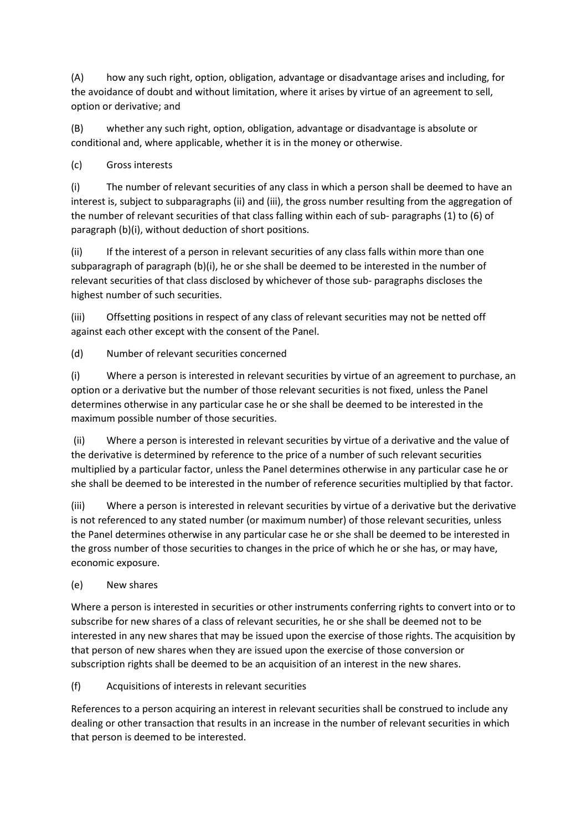(A) how any such right, option, obligation, advantage or disadvantage arises and including, for the avoidance of doubt and without limitation, where it arises by virtue of an agreement to sell, option or derivative; and

(B) whether any such right, option, obligation, advantage or disadvantage is absolute or conditional and, where applicable, whether it is in the money or otherwise.

# (c) Gross interests

(i) The number of relevant securities of any class in which a person shall be deemed to have an interest is, subject to subparagraphs (ii) and (iii), the gross number resulting from the aggregation of the number of relevant securities of that class falling within each of sub- paragraphs (1) to (6) of paragraph (b)(i), without deduction of short positions.

(ii) If the interest of a person in relevant securities of any class falls within more than one subparagraph of paragraph (b)(i), he or she shall be deemed to be interested in the number of relevant securities of that class disclosed by whichever of those sub- paragraphs discloses the highest number of such securities.

(iii) Offsetting positions in respect of any class of relevant securities may not be netted off against each other except with the consent of the Panel.

(d) Number of relevant securities concerned

(i) Where a person is interested in relevant securities by virtue of an agreement to purchase, an option or a derivative but the number of those relevant securities is not fixed, unless the Panel determines otherwise in any particular case he or she shall be deemed to be interested in the maximum possible number of those securities.

 (ii) Where a person is interested in relevant securities by virtue of a derivative and the value of the derivative is determined by reference to the price of a number of such relevant securities multiplied by a particular factor, unless the Panel determines otherwise in any particular case he or she shall be deemed to be interested in the number of reference securities multiplied by that factor.

(iii) Where a person is interested in relevant securities by virtue of a derivative but the derivative is not referenced to any stated number (or maximum number) of those relevant securities, unless the Panel determines otherwise in any particular case he or she shall be deemed to be interested in the gross number of those securities to changes in the price of which he or she has, or may have, economic exposure.

(e) New shares

Where a person is interested in securities or other instruments conferring rights to convert into or to subscribe for new shares of a class of relevant securities, he or she shall be deemed not to be interested in any new shares that may be issued upon the exercise of those rights. The acquisition by that person of new shares when they are issued upon the exercise of those conversion or subscription rights shall be deemed to be an acquisition of an interest in the new shares.

(f) Acquisitions of interests in relevant securities

References to a person acquiring an interest in relevant securities shall be construed to include any dealing or other transaction that results in an increase in the number of relevant securities in which that person is deemed to be interested.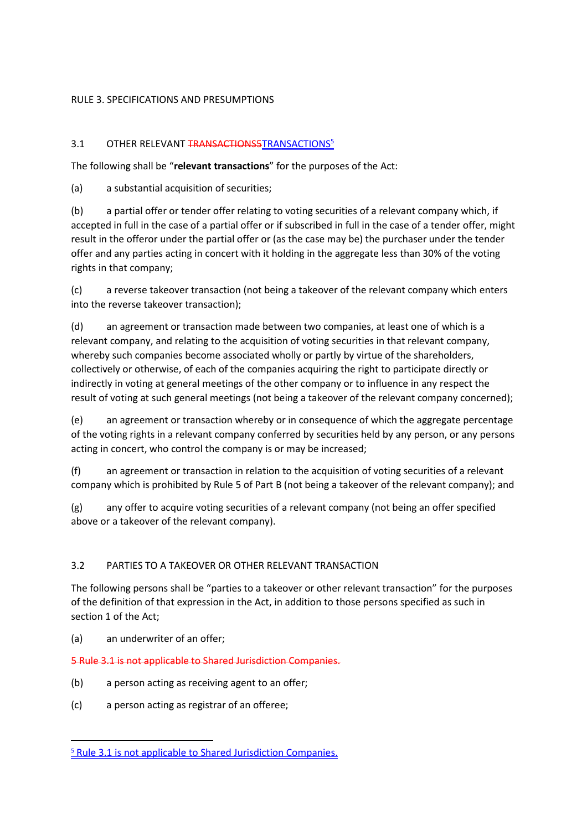## RULE 3. SPECIFICATIONS AND PRESUMPTIONS

# 3.1 OTHER RELEVANT TRANSACTIONS5 TRANSACTIONS<sup>5</sup>

The following shall be "**relevant transactions**" for the purposes of the Act:

(a) a substantial acquisition of securities;

(b) a partial offer or tender offer relating to voting securities of a relevant company which, if accepted in full in the case of a partial offer or if subscribed in full in the case of a tender offer, might result in the offeror under the partial offer or (as the case may be) the purchaser under the tender offer and any parties acting in concert with it holding in the aggregate less than 30% of the voting rights in that company;

(c) a reverse takeover transaction (not being a takeover of the relevant company which enters into the reverse takeover transaction);

(d) an agreement or transaction made between two companies, at least one of which is a relevant company, and relating to the acquisition of voting securities in that relevant company, whereby such companies become associated wholly or partly by virtue of the shareholders, collectively or otherwise, of each of the companies acquiring the right to participate directly or indirectly in voting at general meetings of the other company or to influence in any respect the result of voting at such general meetings (not being a takeover of the relevant company concerned);

(e) an agreement or transaction whereby or in consequence of which the aggregate percentage of the voting rights in a relevant company conferred by securities held by any person, or any persons acting in concert, who control the company is or may be increased;

(f) an agreement or transaction in relation to the acquisition of voting securities of a relevant company which is prohibited by Rule 5 of Part B (not being a takeover of the relevant company); and

(g) any offer to acquire voting securities of a relevant company (not being an offer specified above or a takeover of the relevant company).

# 3.2 PARTIES TO A TAKEOVER OR OTHER RELEVANT TRANSACTION

The following persons shall be "parties to a takeover or other relevant transaction" for the purposes of the definition of that expression in the Act, in addition to those persons specified as such in section 1 of the Act;

(a) an underwriter of an offer;

 $\overline{a}$ 

5 Rule 3.1 is not applicable to Shared Jurisdiction Companies.

- (b) a person acting as receiving agent to an offer;
- (c) a person acting as registrar of an offeree;

<sup>&</sup>lt;sup>5</sup> Rule 3.1 is not applicable to Shared Jurisdiction Companies.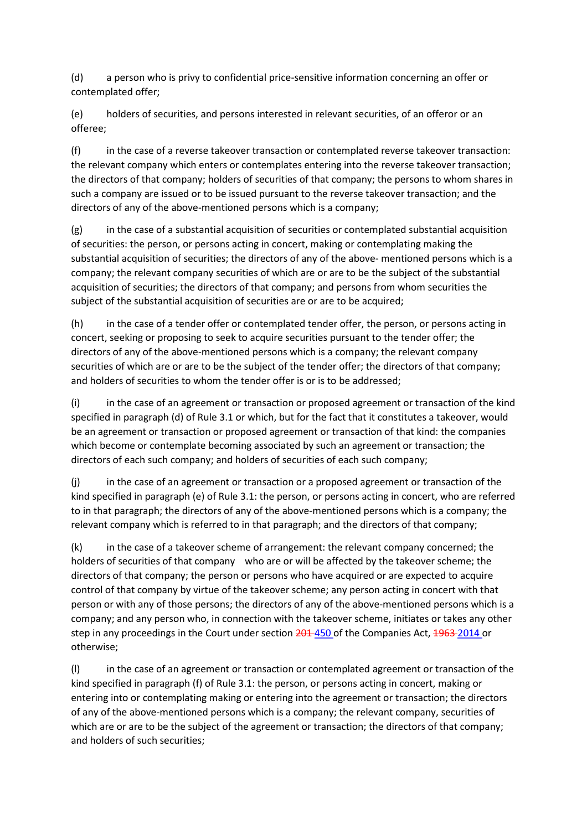(d) a person who is privy to confidential price-sensitive information concerning an offer or contemplated offer;

(e) holders of securities, and persons interested in relevant securities, of an offeror or an offeree;

(f) in the case of a reverse takeover transaction or contemplated reverse takeover transaction: the relevant company which enters or contemplates entering into the reverse takeover transaction; the directors of that company; holders of securities of that company; the persons to whom shares in such a company are issued or to be issued pursuant to the reverse takeover transaction; and the directors of any of the above-mentioned persons which is a company;

 $(g)$  in the case of a substantial acquisition of securities or contemplated substantial acquisition of securities: the person, or persons acting in concert, making or contemplating making the substantial acquisition of securities; the directors of any of the above- mentioned persons which is a company; the relevant company securities of which are or are to be the subject of the substantial acquisition of securities; the directors of that company; and persons from whom securities the subject of the substantial acquisition of securities are or are to be acquired;

(h) in the case of a tender offer or contemplated tender offer, the person, or persons acting in concert, seeking or proposing to seek to acquire securities pursuant to the tender offer; the directors of any of the above-mentioned persons which is a company; the relevant company securities of which are or are to be the subject of the tender offer; the directors of that company; and holders of securities to whom the tender offer is or is to be addressed;

(i) in the case of an agreement or transaction or proposed agreement or transaction of the kind specified in paragraph (d) of Rule 3.1 or which, but for the fact that it constitutes a takeover, would be an agreement or transaction or proposed agreement or transaction of that kind: the companies which become or contemplate becoming associated by such an agreement or transaction; the directors of each such company; and holders of securities of each such company;

(j) in the case of an agreement or transaction or a proposed agreement or transaction of the kind specified in paragraph (e) of Rule 3.1: the person, or persons acting in concert, who are referred to in that paragraph; the directors of any of the above-mentioned persons which is a company; the relevant company which is referred to in that paragraph; and the directors of that company;

(k) in the case of a takeover scheme of arrangement: the relevant company concerned; the holders of securities of that company who are or will be affected by the takeover scheme; the directors of that company; the person or persons who have acquired or are expected to acquire control of that company by virtue of the takeover scheme; any person acting in concert with that person or with any of those persons; the directors of any of the above-mentioned persons which is a company; and any person who, in connection with the takeover scheme, initiates or takes any other step in any proceedings in the Court under section 201-450 of the Companies Act, 1963-2014 or otherwise;

(l) in the case of an agreement or transaction or contemplated agreement or transaction of the kind specified in paragraph (f) of Rule 3.1: the person, or persons acting in concert, making or entering into or contemplating making or entering into the agreement or transaction; the directors of any of the above-mentioned persons which is a company; the relevant company, securities of which are or are to be the subject of the agreement or transaction; the directors of that company; and holders of such securities;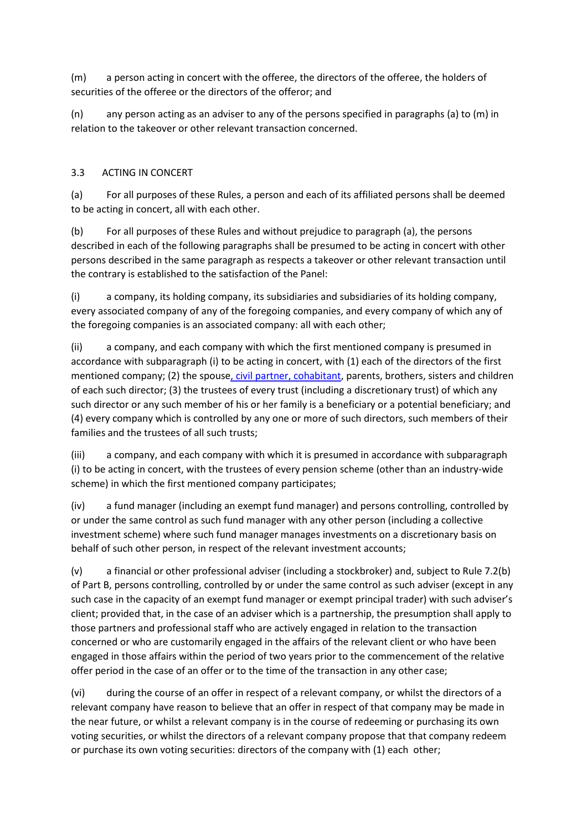(m) a person acting in concert with the offeree, the directors of the offeree, the holders of securities of the offeree or the directors of the offeror; and

(n) any person acting as an adviser to any of the persons specified in paragraphs (a) to (m) in relation to the takeover or other relevant transaction concerned.

# 3.3 ACTING IN CONCERT

(a) For all purposes of these Rules, a person and each of its affiliated persons shall be deemed to be acting in concert, all with each other.

(b) For all purposes of these Rules and without prejudice to paragraph (a), the persons described in each of the following paragraphs shall be presumed to be acting in concert with other persons described in the same paragraph as respects a takeover or other relevant transaction until the contrary is established to the satisfaction of the Panel:

(i) a company, its holding company, its subsidiaries and subsidiaries of its holding company, every associated company of any of the foregoing companies, and every company of which any of the foregoing companies is an associated company: all with each other;

(ii) a company, and each company with which the first mentioned company is presumed in accordance with subparagraph (i) to be acting in concert, with (1) each of the directors of the first mentioned company; (2) the spouse, civil partner, cohabitant, parents, brothers, sisters and children of each such director; (3) the trustees of every trust (including a discretionary trust) of which any such director or any such member of his or her family is a beneficiary or a potential beneficiary; and (4) every company which is controlled by any one or more of such directors, such members of their families and the trustees of all such trusts;

(iii) a company, and each company with which it is presumed in accordance with subparagraph (i) to be acting in concert, with the trustees of every pension scheme (other than an industry-wide scheme) in which the first mentioned company participates;

(iv) a fund manager (including an exempt fund manager) and persons controlling, controlled by or under the same control as such fund manager with any other person (including a collective investment scheme) where such fund manager manages investments on a discretionary basis on behalf of such other person, in respect of the relevant investment accounts;

(v) a financial or other professional adviser (including a stockbroker) and, subject to Rule 7.2(b) of Part B, persons controlling, controlled by or under the same control as such adviser (except in any such case in the capacity of an exempt fund manager or exempt principal trader) with such adviser's client; provided that, in the case of an adviser which is a partnership, the presumption shall apply to those partners and professional staff who are actively engaged in relation to the transaction concerned or who are customarily engaged in the affairs of the relevant client or who have been engaged in those affairs within the period of two years prior to the commencement of the relative offer period in the case of an offer or to the time of the transaction in any other case;

(vi) during the course of an offer in respect of a relevant company, or whilst the directors of a relevant company have reason to believe that an offer in respect of that company may be made in the near future, or whilst a relevant company is in the course of redeeming or purchasing its own voting securities, or whilst the directors of a relevant company propose that that company redeem or purchase its own voting securities: directors of the company with (1) each other;